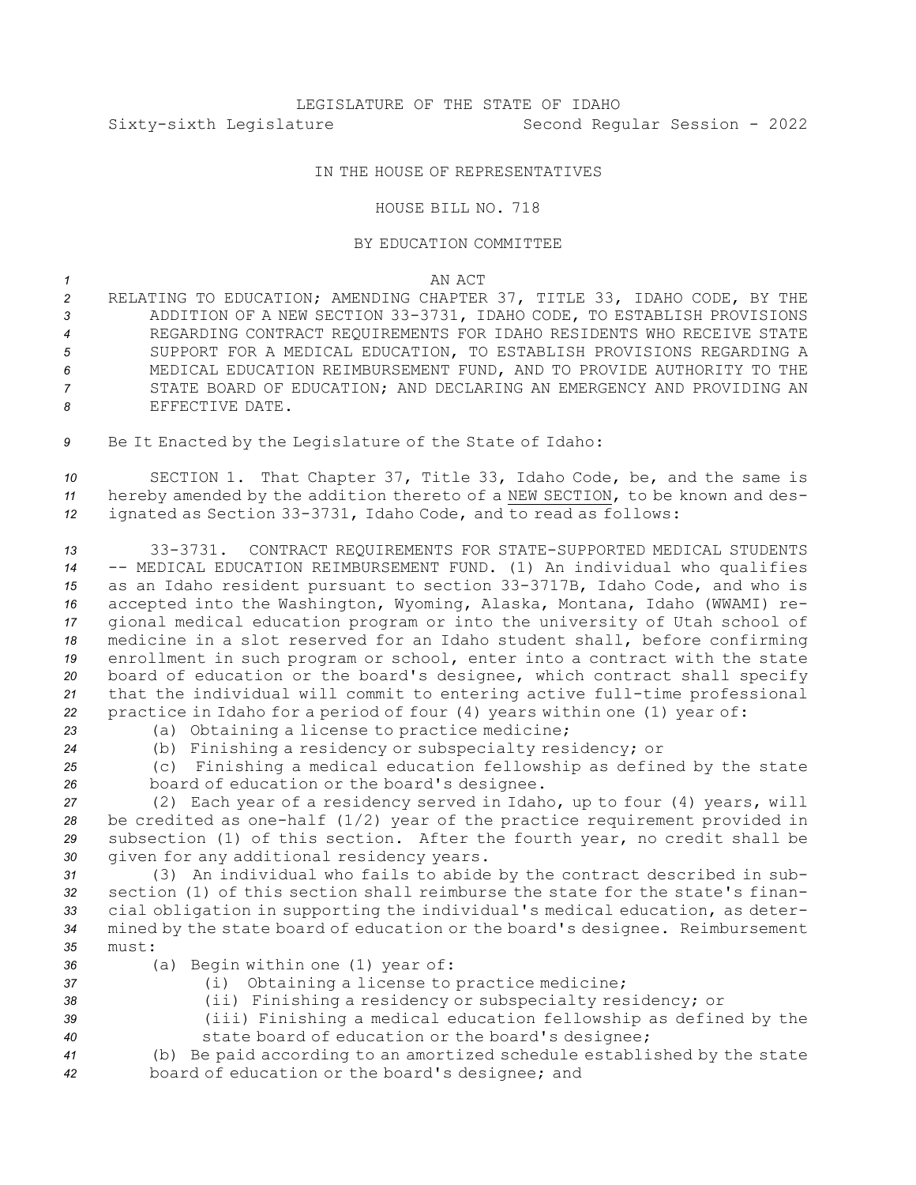## IN THE HOUSE OF REPRESENTATIVES

## HOUSE BILL NO. 718

## BY EDUCATION COMMITTEE

## *1* AN ACT

 RELATING TO EDUCATION; AMENDING CHAPTER 37, TITLE 33, IDAHO CODE, BY THE ADDITION OF A NEW SECTION 33-3731, IDAHO CODE, TO ESTABLISH PROVISIONS REGARDING CONTRACT REQUIREMENTS FOR IDAHO RESIDENTS WHO RECEIVE STATE SUPPORT FOR A MEDICAL EDUCATION, TO ESTABLISH PROVISIONS REGARDING A MEDICAL EDUCATION REIMBURSEMENT FUND, AND TO PROVIDE AUTHORITY TO THE STATE BOARD OF EDUCATION; AND DECLARING AN EMERGENCY AND PROVIDING AN EFFECTIVE DATE.

*<sup>9</sup>* Be It Enacted by the Legislature of the State of Idaho:

*<sup>10</sup>* SECTION 1. That Chapter 37, Title 33, Idaho Code, be, and the same is *<sup>11</sup>* hereby amended by the addition thereto of <sup>a</sup> NEW SECTION, to be known and des-*<sup>12</sup>* ignated as Section 33-3731, Idaho Code, and to read as follows:

 33-3731. CONTRACT REQUIREMENTS FOR STATE-SUPPORTED MEDICAL STUDENTS -- MEDICAL EDUCATION REIMBURSEMENT FUND. (1) An individual who qualifies as an Idaho resident pursuant to section 33-3717B, Idaho Code, and who is accepted into the Washington, Wyoming, Alaska, Montana, Idaho (WWAMI) re- gional medical education program or into the university of Utah school of medicine in <sup>a</sup> slot reserved for an Idaho student shall, before confirming enrollment in such program or school, enter into <sup>a</sup> contract with the state board of education or the board's designee, which contract shall specify that the individual will commit to entering active full-time professional practice in Idaho for <sup>a</sup> period of four (4) years within one (1) year of:

*<sup>23</sup>* (a) Obtaining <sup>a</sup> license to practice medicine;

*<sup>24</sup>* (b) Finishing <sup>a</sup> residency or subspecialty residency; or

*<sup>25</sup>* (c) Finishing <sup>a</sup> medical education fellowship as defined by the state *<sup>26</sup>* board of education or the board's designee.

 (2) Each year of <sup>a</sup> residency served in Idaho, up to four (4) years, will be credited as one-half (1/2) year of the practice requirement provided in subsection (1) of this section. After the fourth year, no credit shall be given for any additional residency years.

 (3) An individual who fails to abide by the contract described in sub- section (1) of this section shall reimburse the state for the state's finan- cial obligation in supporting the individual's medical education, as deter- mined by the state board of education or the board's designee. Reimbursement *35* must:

- *<sup>36</sup>* (a) Begin within one (1) year of:
- 
- *<sup>37</sup>* (i) Obtaining <sup>a</sup> license to practice medicine;

*<sup>38</sup>* (ii) Finishing <sup>a</sup> residency or subspecialty residency; or

*<sup>39</sup>* (iii) Finishing <sup>a</sup> medical education fellowship as defined by the *<sup>40</sup>* state board of education or the board's designee;

*<sup>41</sup>* (b) Be paid according to an amortized schedule established by the state *<sup>42</sup>* board of education or the board's designee; and